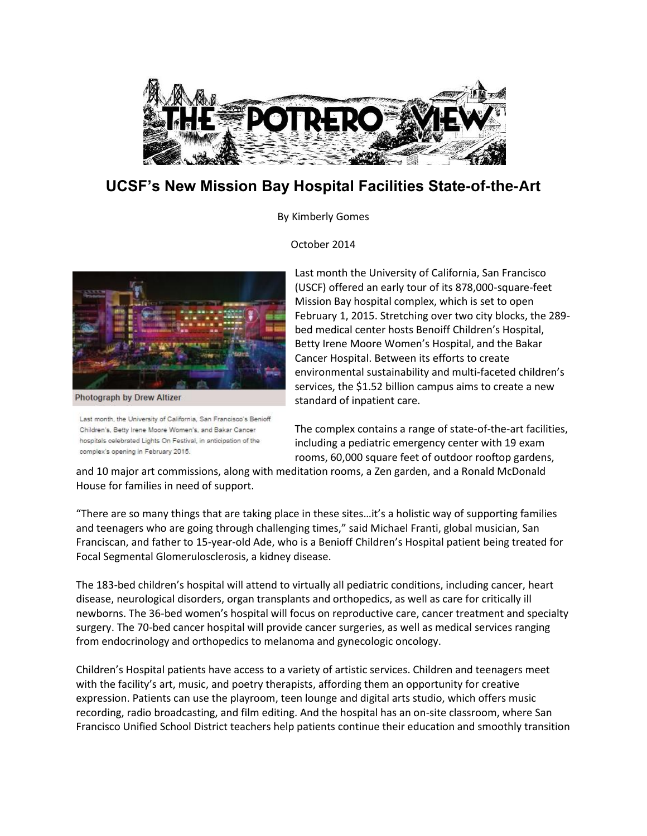

## **UCSF's New Mission Bay Hospital Facilities State-of-the-Art**

By Kimberly Gomes

October 2014



Photograph by Drew Altizer

Last month, the University of California, San Francisco's Benioff Children's, Betty Irene Moore Women's, and Bakar Cancer hospitals celebrated Lights On Festival, in anticipation of the complex's opening in February 2015.

Last month the University of California, San Francisco (USCF) offered an early tour of its 878,000-square-feet Mission Bay hospital complex, which is set to open February 1, 2015. Stretching over two city blocks, the 289 bed medical center hosts Benoiff Children's Hospital, Betty Irene Moore Women's Hospital, and the Bakar Cancer Hospital. Between its efforts to create environmental sustainability and multi-faceted children's services, the \$1.52 billion campus aims to create a new standard of inpatient care.

The complex contains a range of state-of-the-art facilities, including a pediatric emergency center with 19 exam rooms, 60,000 square feet of outdoor rooftop gardens,

and 10 major art commissions, along with meditation rooms, a Zen garden, and a Ronald McDonald House for families in need of support.

"There are so many things that are taking place in these sites…it's a holistic way of supporting families and teenagers who are going through challenging times," said Michael Franti, global musician, San Franciscan, and father to 15-year-old Ade, who is a Benioff Children's Hospital patient being treated for Focal Segmental Glomerulosclerosis, a kidney disease.

The 183-bed children's hospital will attend to virtually all pediatric conditions, including cancer, heart disease, neurological disorders, organ transplants and orthopedics, as well as care for critically ill newborns. The 36-bed women's hospital will focus on reproductive care, cancer treatment and specialty surgery. The 70-bed cancer hospital will provide cancer surgeries, as well as medical services ranging from endocrinology and orthopedics to melanoma and gynecologic oncology.

Children's Hospital patients have access to a variety of artistic services. Children and teenagers meet with the facility's art, music, and poetry therapists, affording them an opportunity for creative expression. Patients can use the playroom, teen lounge and digital arts studio, which offers music recording, radio broadcasting, and film editing. And the hospital has an on-site classroom, where San Francisco Unified School District teachers help patients continue their education and smoothly transition